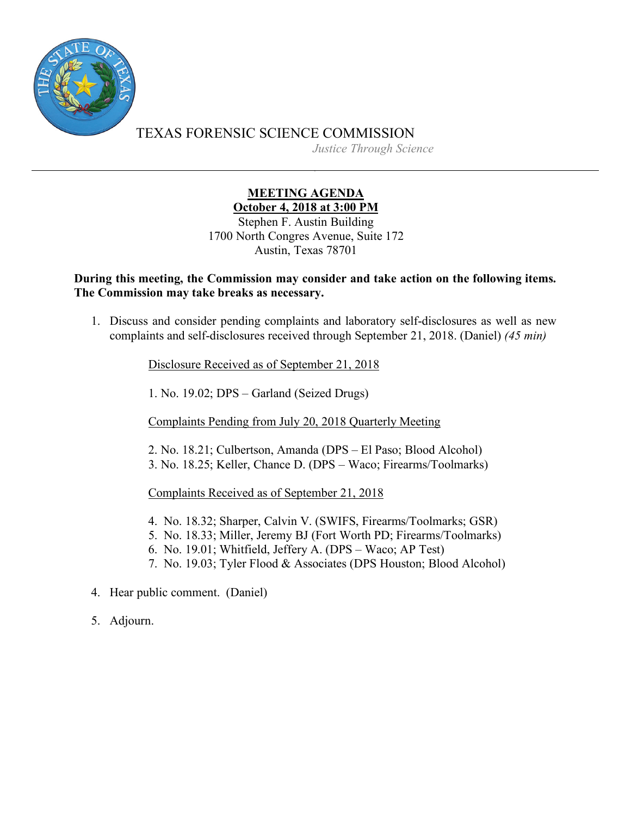

TEXAS FORENSIC SCIENCE COMMISSION *Justice Through Science*

## **MEETING AGENDA October 4, 2018 at 3:00 PM**

Stephen F. Austin Building 1700 North Congres Avenue, Suite 172 Austin, Texas 78701

## **During this meeting, the Commission may consider and take action on the following items. The Commission may take breaks as necessary.**

1. Discuss and consider pending complaints and laboratory self-disclosures as well as new complaints and self-disclosures received through September 21, 2018. (Daniel) *(45 min)*

Disclosure Received as of September 21, 2018

1. No. 19.02; DPS – Garland (Seized Drugs)

Complaints Pending from July 20, 2018 Quarterly Meeting

2. No. 18.21; Culbertson, Amanda (DPS – El Paso; Blood Alcohol) 3. No. 18.25; Keller, Chance D. (DPS – Waco; Firearms/Toolmarks)

Complaints Received as of September 21, 2018

- 4. No. 18.32; Sharper, Calvin V. (SWIFS, Firearms/Toolmarks; GSR)
- 5. No. 18.33; Miller, Jeremy BJ (Fort Worth PD; Firearms/Toolmarks)
- 6. No. 19.01; Whitfield, Jeffery A. (DPS Waco; AP Test)
- 7. No. 19.03; Tyler Flood & Associates (DPS Houston; Blood Alcohol)
- 4. Hear public comment. (Daniel)
- 5. Adjourn.